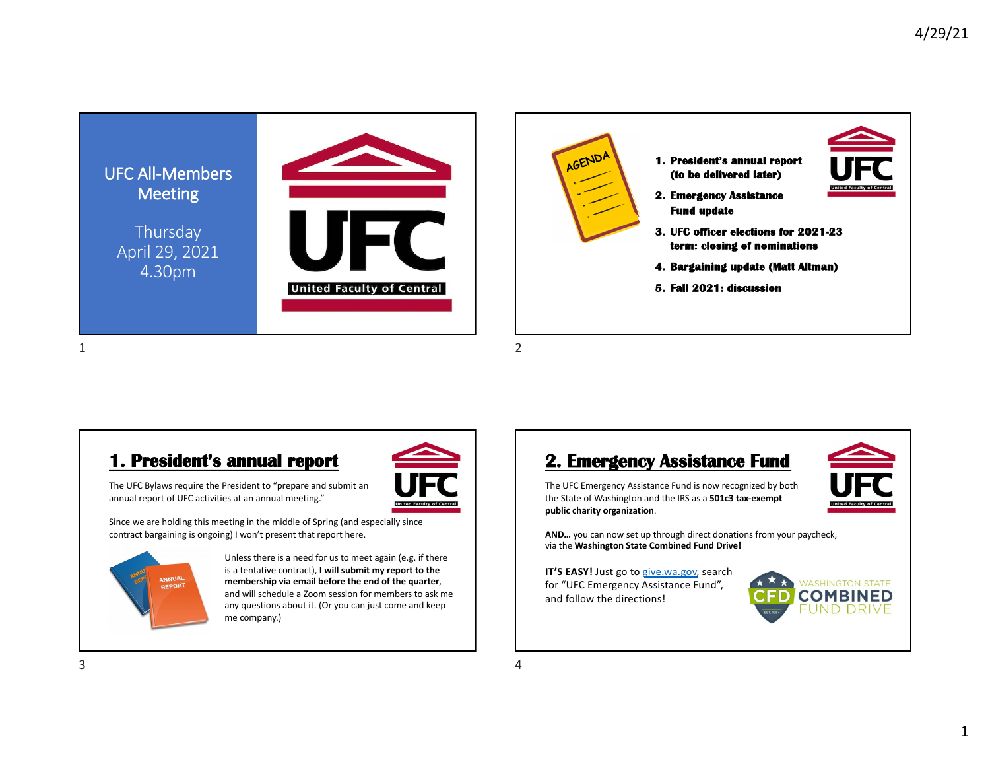

#### **1. President's annual report**



The UFC Bylaws require the President to "prepare and submit an annual report of UFC activities at an annual meeting."

Since we are holding this meeting in the middle of Spring (and especially since contract bargaining is ongoing) I won't present that report here.



Unless there is a need for us to meet again (e.g. if there is a tentative contract), **I will submit my report to the membership via email before the end of the quarter**, and will schedule a Zoom session for members to ask me any questions about it. (Or you can just come and keep me company.)

#### **2. Emergency Assistance Fund**



**AND…** you can now set up through direct donations from your paycheck, via the **Washington State Combined Fund Drive!**

**IT'S EASY!** Just go to give.wa.gov, search for "UFC Emergency Assistance Fund", and follow the directions!

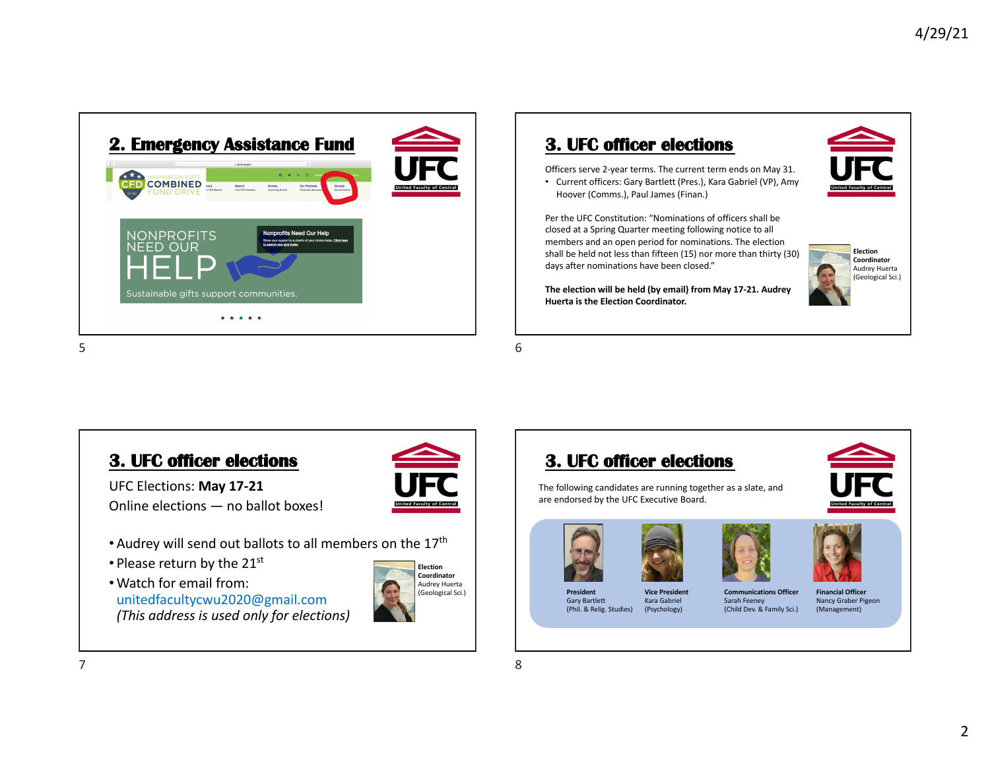

## **3. UFC officer elections**

Hoover (Comms.), Paul James (Finan.)

Officers serve 2-year terms. The current term ends on May 31. • Current officers: Gary Bartlett (Pres.), Kara Gabriel (VP), Amy

Per the UFC Constitution: "Nominations of officers shall be closed at a Spring Quarter meeting following notice to all



**Election Coordinator** Audrey Huerta (Geological Sci.) members and an open period for nominations. The election shall be held not less than fifteen (15) nor more than thirty (30) days after nominations have been closed."

**The election will be held (by email) from May 17-21. Audrey Huerta is the Election Coordinator.**

5

# **3. UFC officer elections**

UFC Elections: **May 17-21** Online elections — no ballot boxes!

- Audrey will send out ballots to all members on the 17th
- Please return by the 21st
- •Watch for email from: unitedfacultycwu2020@gmail.com *(This address is used only for elections)*



**Election Coordinator** Audrey Huerta (Geological Sci.) 6

8





The following candidates are running together as a slate, and are endorsed by the UFC Executive Board.





Kara Gabriel (Psychology)



Sarah Feeney (Child Dev. & Family Sci.)





**Financial Officer** Nancy Graber Pigeon (Management)